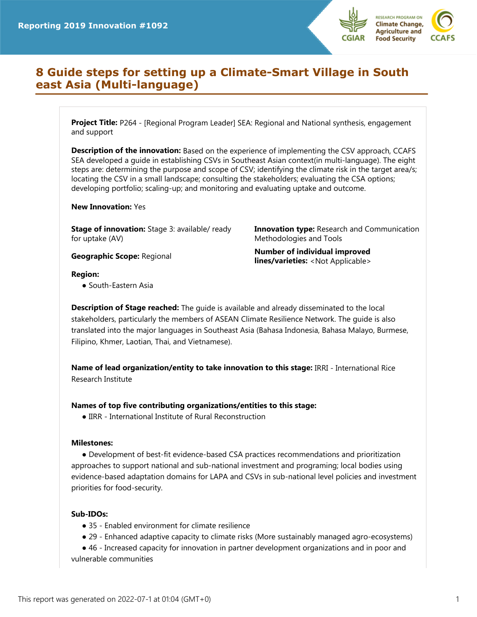

# **8 Guide steps for setting up a Climate-Smart Village in South east Asia (Multi-language)**

**Project Title:** P264 - [Regional Program Leader] SEA: Regional and National synthesis, engagement and support

**Description of the innovation:** Based on the experience of implementing the CSV approach, CCAFS SEA developed a guide in establishing CSVs in Southeast Asian context(in multi-language). The eight steps are: determining the purpose and scope of CSV; identifying the climate risk in the target area/s; locating the CSV in a small landscape; consulting the stakeholders; evaluating the CSA options; developing portfolio; scaling-up; and monitoring and evaluating uptake and outcome.

#### **New Innovation:** Yes

**Stage of innovation:** Stage 3: available/ ready for uptake (AV)

**Innovation type:** Research and Communication Methodologies and Tools

**Geographic Scope:** Regional **Number of individual improved lines/varieties:** <Not Applicable>

# **Region:**

● South-Eastern Asia

**Description of Stage reached:** The guide is available and already disseminated to the local stakeholders, particularly the members of ASEAN Climate Resilience Network. The guide is also translated into the major languages in Southeast Asia (Bahasa Indonesia, Bahasa Malayo, Burmese, Filipino, Khmer, Laotian, Thai, and Vietnamese).

**Name of lead organization/entity to take innovation to this stage:** IRRI - International Rice Research Institute

# **Names of top five contributing organizations/entities to this stage:**

● IIRR - International Institute of Rural Reconstruction

#### **Milestones:**

 ● Development of best-fit evidence-based CSA practices recommendations and prioritization approaches to support national and sub-national investment and programing; local bodies using evidence-based adaptation domains for LAPA and CSVs in sub-national level policies and investment priorities for food-security.

# **Sub-IDOs:**

- 35 Enabled environment for climate resilience
- 29 Enhanced adaptive capacity to climate risks (More sustainably managed agro-ecosystems)

● 46 - Increased capacity for innovation in partner development organizations and in poor and vulnerable communities